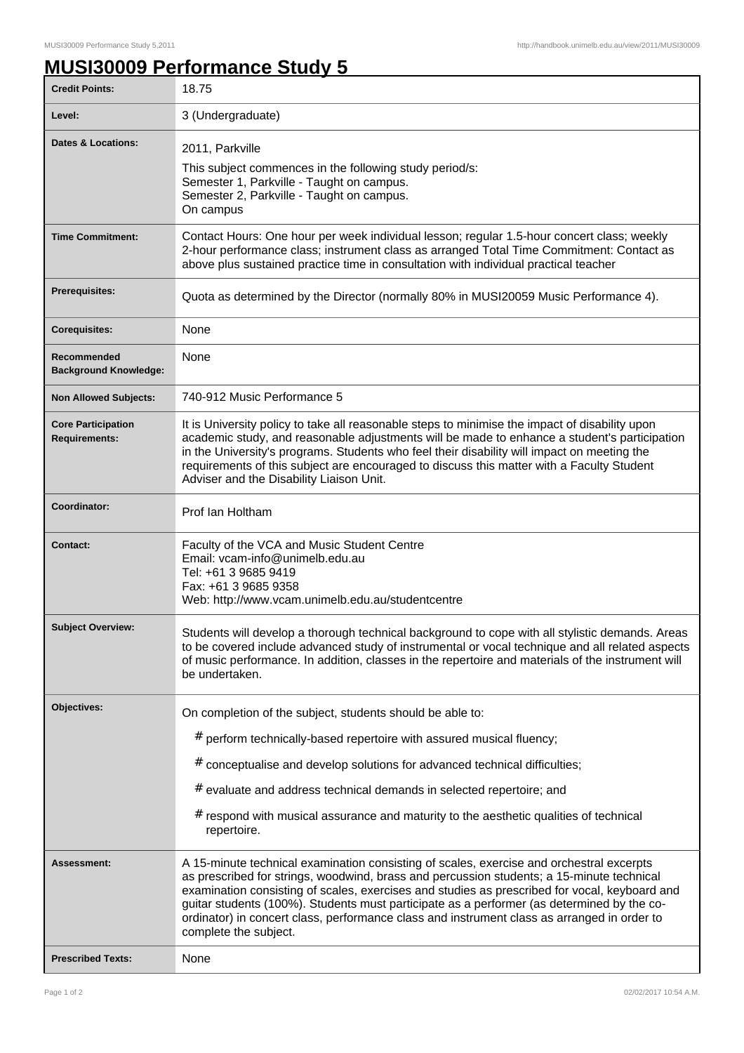## **MUSI30009 Performance Study 5**

| <b>Credit Points:</b>                             | 18.75                                                                                                                                                                                                                                                                                                                                                                                                                                                                                                        |
|---------------------------------------------------|--------------------------------------------------------------------------------------------------------------------------------------------------------------------------------------------------------------------------------------------------------------------------------------------------------------------------------------------------------------------------------------------------------------------------------------------------------------------------------------------------------------|
| Level:                                            | 3 (Undergraduate)                                                                                                                                                                                                                                                                                                                                                                                                                                                                                            |
| <b>Dates &amp; Locations:</b>                     | 2011, Parkville<br>This subject commences in the following study period/s:<br>Semester 1, Parkville - Taught on campus.<br>Semester 2, Parkville - Taught on campus.<br>On campus                                                                                                                                                                                                                                                                                                                            |
| <b>Time Commitment:</b>                           | Contact Hours: One hour per week individual lesson; regular 1.5-hour concert class; weekly<br>2-hour performance class; instrument class as arranged Total Time Commitment: Contact as<br>above plus sustained practice time in consultation with individual practical teacher                                                                                                                                                                                                                               |
| <b>Prerequisites:</b>                             | Quota as determined by the Director (normally 80% in MUSI20059 Music Performance 4).                                                                                                                                                                                                                                                                                                                                                                                                                         |
| <b>Corequisites:</b>                              | None                                                                                                                                                                                                                                                                                                                                                                                                                                                                                                         |
| Recommended<br><b>Background Knowledge:</b>       | None                                                                                                                                                                                                                                                                                                                                                                                                                                                                                                         |
| <b>Non Allowed Subjects:</b>                      | 740-912 Music Performance 5                                                                                                                                                                                                                                                                                                                                                                                                                                                                                  |
| <b>Core Participation</b><br><b>Requirements:</b> | It is University policy to take all reasonable steps to minimise the impact of disability upon<br>academic study, and reasonable adjustments will be made to enhance a student's participation<br>in the University's programs. Students who feel their disability will impact on meeting the<br>requirements of this subject are encouraged to discuss this matter with a Faculty Student<br>Adviser and the Disability Liaison Unit.                                                                       |
| Coordinator:                                      | Prof Ian Holtham                                                                                                                                                                                                                                                                                                                                                                                                                                                                                             |
| <b>Contact:</b>                                   | Faculty of the VCA and Music Student Centre<br>Email: vcam-info@unimelb.edu.au<br>Tel: +61 3 9685 9419<br>Fax: +61 3 9685 9358<br>Web: http://www.vcam.unimelb.edu.au/studentcentre                                                                                                                                                                                                                                                                                                                          |
| <b>Subject Overview:</b>                          | Students will develop a thorough technical background to cope with all stylistic demands. Areas<br>to be covered include advanced study of instrumental or vocal technique and all related aspects<br>of music performance. In addition, classes in the repertoire and materials of the instrument will<br>be undertaken.                                                                                                                                                                                    |
| Objectives:                                       | On completion of the subject, students should be able to:<br># perform technically-based repertoire with assured musical fluency;<br># conceptualise and develop solutions for advanced technical difficulties;<br>$#$ evaluate and address technical demands in selected repertoire; and<br>$#$ respond with musical assurance and maturity to the aesthetic qualities of technical<br>repertoire.                                                                                                          |
| <b>Assessment:</b>                                | A 15-minute technical examination consisting of scales, exercise and orchestral excerpts<br>as prescribed for strings, woodwind, brass and percussion students; a 15-minute technical<br>examination consisting of scales, exercises and studies as prescribed for vocal, keyboard and<br>guitar students (100%). Students must participate as a performer (as determined by the co-<br>ordinator) in concert class, performance class and instrument class as arranged in order to<br>complete the subject. |
| <b>Prescribed Texts:</b>                          | None                                                                                                                                                                                                                                                                                                                                                                                                                                                                                                         |